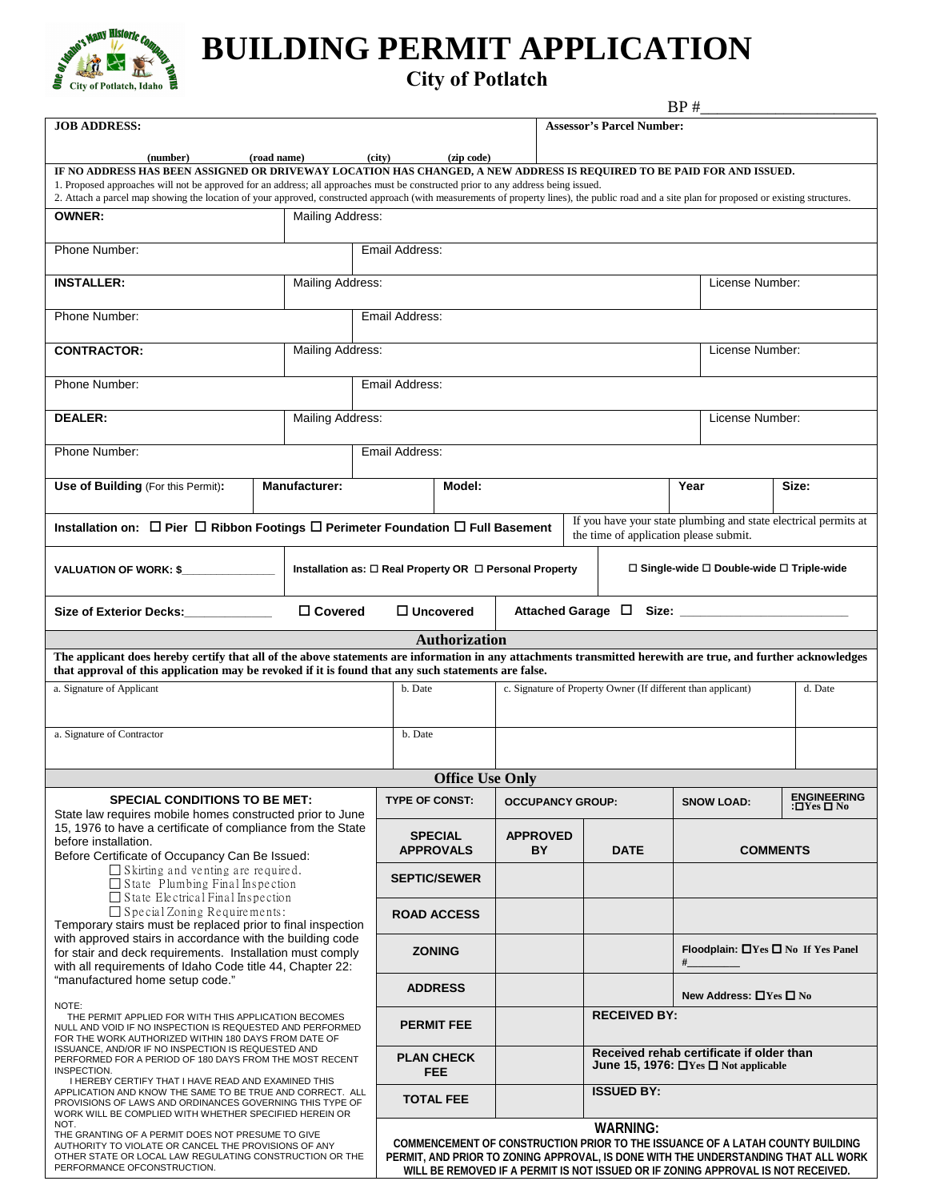

## **BUILDING PERMIT APPLICATION**

## **City of Potlatch**

|                                                                                                                                                                                                                                                                                                                                                                                                                                                               |  |                      |                |                                                                               |                                                              |                                                          |                                                                                                           | BP#             |                                                                                  |                                               |  |
|---------------------------------------------------------------------------------------------------------------------------------------------------------------------------------------------------------------------------------------------------------------------------------------------------------------------------------------------------------------------------------------------------------------------------------------------------------------|--|----------------------|----------------|-------------------------------------------------------------------------------|--------------------------------------------------------------|----------------------------------------------------------|-----------------------------------------------------------------------------------------------------------|-----------------|----------------------------------------------------------------------------------|-----------------------------------------------|--|
| <b>JOB ADDRESS:</b>                                                                                                                                                                                                                                                                                                                                                                                                                                           |  |                      |                | <b>Assessor's Parcel Number:</b>                                              |                                                              |                                                          |                                                                                                           |                 |                                                                                  |                                               |  |
| (number)<br>(road name)                                                                                                                                                                                                                                                                                                                                                                                                                                       |  |                      |                | (city)<br>(zip code)                                                          |                                                              |                                                          |                                                                                                           |                 |                                                                                  |                                               |  |
| IF NO ADDRESS HAS BEEN ASSIGNED OR DRIVEWAY LOCATION HAS CHANGED, A NEW ADDRESS IS REQUIRED TO BE PAID FOR AND ISSUED.<br>1. Proposed approaches will not be approved for an address; all approaches must be constructed prior to any address being issued.<br>2. Attach a parcel map showing the location of your approved, constructed approach (with measurements of property lines), the public road and a site plan for proposed or existing structures. |  |                      |                |                                                                               |                                                              |                                                          |                                                                                                           |                 |                                                                                  |                                               |  |
| <b>OWNER:</b><br><b>Mailing Address:</b>                                                                                                                                                                                                                                                                                                                                                                                                                      |  |                      |                |                                                                               |                                                              |                                                          |                                                                                                           |                 |                                                                                  |                                               |  |
| Phone Number:                                                                                                                                                                                                                                                                                                                                                                                                                                                 |  |                      |                | Email Address:                                                                |                                                              |                                                          |                                                                                                           |                 |                                                                                  |                                               |  |
| Mailing Address:<br><b>INSTALLER:</b>                                                                                                                                                                                                                                                                                                                                                                                                                         |  |                      |                |                                                                               |                                                              |                                                          |                                                                                                           |                 | License Number:                                                                  |                                               |  |
| Phone Number:                                                                                                                                                                                                                                                                                                                                                                                                                                                 |  |                      | Email Address: |                                                                               |                                                              |                                                          |                                                                                                           |                 |                                                                                  |                                               |  |
| Mailing Address:<br><b>CONTRACTOR:</b>                                                                                                                                                                                                                                                                                                                                                                                                                        |  |                      |                |                                                                               |                                                              |                                                          |                                                                                                           | License Number: |                                                                                  |                                               |  |
| Phone Number:                                                                                                                                                                                                                                                                                                                                                                                                                                                 |  | Email Address:       |                |                                                                               |                                                              |                                                          |                                                                                                           |                 |                                                                                  |                                               |  |
| <b>DEALER:</b>                                                                                                                                                                                                                                                                                                                                                                                                                                                |  | Mailing Address:     |                |                                                                               |                                                              |                                                          |                                                                                                           |                 | License Number:                                                                  |                                               |  |
| Phone Number:                                                                                                                                                                                                                                                                                                                                                                                                                                                 |  | Email Address:       |                |                                                                               |                                                              |                                                          |                                                                                                           |                 |                                                                                  |                                               |  |
| Use of Building (For this Permit):                                                                                                                                                                                                                                                                                                                                                                                                                            |  | <b>Manufacturer:</b> |                | Model:                                                                        |                                                              |                                                          | Year                                                                                                      |                 |                                                                                  | Size:                                         |  |
| Installation on: $\Box$ Pier $\Box$ Ribbon Footings $\Box$ Perimeter Foundation $\Box$ Full Basement                                                                                                                                                                                                                                                                                                                                                          |  |                      |                |                                                                               |                                                              |                                                          | If you have your state plumbing and state electrical permits at<br>the time of application please submit. |                 |                                                                                  |                                               |  |
| VALUATION OF WORK: \$                                                                                                                                                                                                                                                                                                                                                                                                                                         |  |                      |                | Installation as: □ Real Property OR □ Personal Property                       |                                                              | $\Box$ Single-wide $\Box$ Double-wide $\Box$ Triple-wide |                                                                                                           |                 |                                                                                  |                                               |  |
| □ Covered<br>Size of Exterior Decks: ____________                                                                                                                                                                                                                                                                                                                                                                                                             |  |                      |                | $\Box$ Uncovered                                                              |                                                              |                                                          |                                                                                                           |                 |                                                                                  |                                               |  |
|                                                                                                                                                                                                                                                                                                                                                                                                                                                               |  |                      |                | <b>Authorization</b>                                                          |                                                              |                                                          |                                                                                                           |                 |                                                                                  |                                               |  |
| The applicant does hereby certify that all of the above statements are information in any attachments transmitted herewith are true, and further acknowledges<br>that approval of this application may be revoked if it is found that any such statements are false.                                                                                                                                                                                          |  |                      |                |                                                                               |                                                              |                                                          |                                                                                                           |                 |                                                                                  |                                               |  |
| a. Signature of Applicant                                                                                                                                                                                                                                                                                                                                                                                                                                     |  |                      |                | b. Date                                                                       | c. Signature of Property Owner (If different than applicant) |                                                          |                                                                                                           |                 |                                                                                  | d. Date                                       |  |
|                                                                                                                                                                                                                                                                                                                                                                                                                                                               |  |                      |                |                                                                               |                                                              |                                                          |                                                                                                           |                 |                                                                                  |                                               |  |
| a. Signature of Contractor                                                                                                                                                                                                                                                                                                                                                                                                                                    |  |                      |                | b. Date                                                                       |                                                              |                                                          |                                                                                                           |                 |                                                                                  |                                               |  |
|                                                                                                                                                                                                                                                                                                                                                                                                                                                               |  |                      |                | <b>Office Use Only</b>                                                        |                                                              |                                                          |                                                                                                           |                 |                                                                                  |                                               |  |
| <b>SPECIAL CONDITIONS TO BE MET:</b><br>State law requires mobile homes constructed prior to June                                                                                                                                                                                                                                                                                                                                                             |  |                      |                | <b>TYPE OF CONST:</b>                                                         |                                                              | <b>OCCUPANCY GROUP:</b>                                  |                                                                                                           |                 | <b>SNOW LOAD:</b>                                                                | <b>ENGINEERING</b><br>:□Yes □ No              |  |
| 15, 1976 to have a certificate of compliance from the State<br>before installation.                                                                                                                                                                                                                                                                                                                                                                           |  |                      |                | <b>SPECIAL</b><br><b>APPROVALS</b>                                            | <b>APPROVED</b><br>BY                                        | <b>DATE</b>                                              |                                                                                                           |                 | <b>COMMENTS</b>                                                                  |                                               |  |
| Before Certificate of Occupancy Can Be Issued:<br>$\Box$ Skirting and venting are required.<br>$\Box$ State Plumbing Final Inspection                                                                                                                                                                                                                                                                                                                         |  |                      |                | <b>SEPTIC/SEWER</b>                                                           |                                                              |                                                          |                                                                                                           |                 |                                                                                  |                                               |  |
| $\Box$ State Electrical Final Inspection<br>$\Box$ Special Zoning Requirements:<br>Temporary stairs must be replaced prior to final inspection<br>with approved stairs in accordance with the building code<br>for stair and deck requirements. Installation must comply                                                                                                                                                                                      |  |                      |                | <b>ROAD ACCESS</b>                                                            |                                                              |                                                          |                                                                                                           |                 |                                                                                  |                                               |  |
|                                                                                                                                                                                                                                                                                                                                                                                                                                                               |  |                      |                | <b>ZONING</b>                                                                 |                                                              |                                                          |                                                                                                           |                 |                                                                                  | Floodplain: $\Box$ Yes $\Box$ No If Yes Panel |  |
| with all requirements of Idaho Code title 44, Chapter 22:<br>"manufactured home setup code."                                                                                                                                                                                                                                                                                                                                                                  |  |                      |                | <b>ADDRESS</b>                                                                |                                                              |                                                          |                                                                                                           |                 |                                                                                  |                                               |  |
| NOTE:                                                                                                                                                                                                                                                                                                                                                                                                                                                         |  |                      |                |                                                                               |                                                              |                                                          |                                                                                                           |                 | New Address: □Yes □ No                                                           |                                               |  |
| THE PERMIT APPLIED FOR WITH THIS APPLICATION BECOMES<br>NULL AND VOID IF NO INSPECTION IS REQUESTED AND PERFORMED<br>FOR THE WORK AUTHORIZED WITHIN 180 DAYS FROM DATE OF                                                                                                                                                                                                                                                                                     |  |                      |                |                                                                               |                                                              | <b>RECEIVED BY:</b>                                      |                                                                                                           |                 |                                                                                  |                                               |  |
|                                                                                                                                                                                                                                                                                                                                                                                                                                                               |  |                      |                | <b>PERMIT FEE</b>                                                             |                                                              |                                                          |                                                                                                           |                 |                                                                                  |                                               |  |
| ISSUANCE, AND/OR IF NO INSPECTION IS REQUESTED AND<br>PERFORMED FOR A PERIOD OF 180 DAYS FROM THE MOST RECENT<br>INSPECTION.                                                                                                                                                                                                                                                                                                                                  |  |                      |                | <b>PLAN CHECK</b><br><b>FEE</b>                                               |                                                              |                                                          |                                                                                                           |                 | Received rehab certificate if older than<br>June 15, 1976: □Yes □ Not applicable |                                               |  |
| I HEREBY CERTIFY THAT I HAVE READ AND EXAMINED THIS<br>APPLICATION AND KNOW THE SAME TO BE TRUE AND CORRECT. ALL<br>PROVISIONS OF LAWS AND ORDINANCES GOVERNING THIS TYPE OF<br>WORK WILL BE COMPLIED WITH WHETHER SPECIFIED HEREIN OR                                                                                                                                                                                                                        |  |                      |                | <b>TOTAL FEE</b>                                                              |                                                              |                                                          | <b>ISSUED BY:</b>                                                                                         |                 |                                                                                  |                                               |  |
| NOT.<br>THE GRANTING OF A PERMIT DOES NOT PRESUME TO GIVE                                                                                                                                                                                                                                                                                                                                                                                                     |  |                      |                | COMMENCEMENT OF CONSTRUCTION PRIOR TO THE ISSUANCE OF A LATAH COUNTY BUILDING |                                                              |                                                          | <b>WARNING:</b>                                                                                           |                 |                                                                                  |                                               |  |